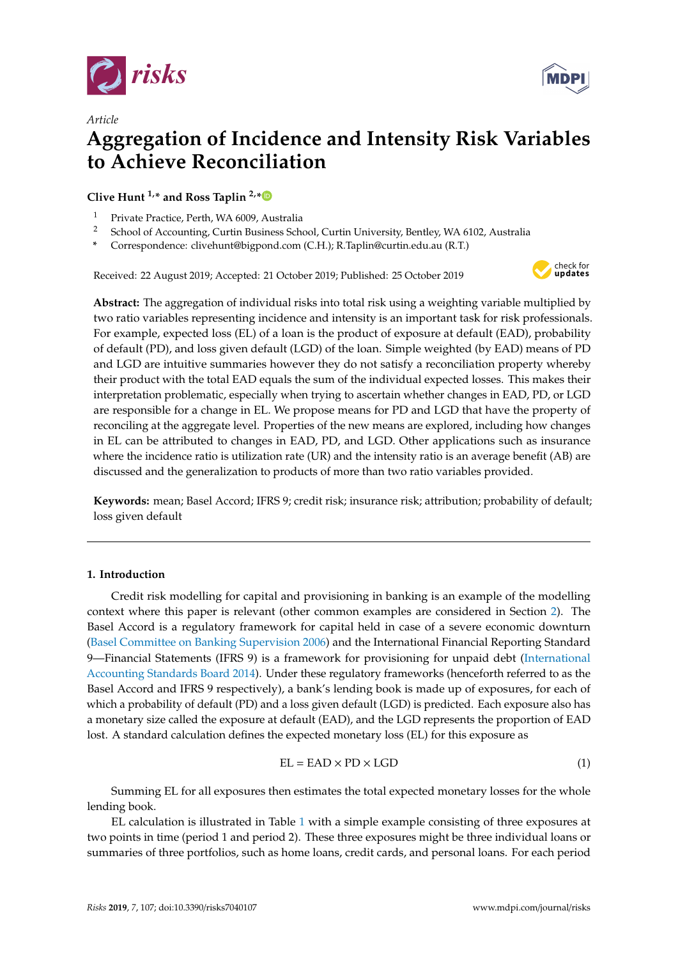

*Article*



# **Aggregation of Incidence and Intensity Risk Variables to Achieve Reconciliation**

**Clive Hunt 1,\* and Ross Taplin 2,[\\*](https://orcid.org/0000-0002-5353-7448)**

- <sup>1</sup> Private Practice, Perth, WA 6009, Australia
- <sup>2</sup> School of Accounting, Curtin Business School, Curtin University, Bentley, WA 6102, Australia
- **\*** Correspondence: clivehunt@bigpond.com (C.H.); R.Taplin@curtin.edu.au (R.T.)

Received: 22 August 2019; Accepted: 21 October 2019; Published: 25 October 2019



**Abstract:** The aggregation of individual risks into total risk using a weighting variable multiplied by two ratio variables representing incidence and intensity is an important task for risk professionals. For example, expected loss (EL) of a loan is the product of exposure at default (EAD), probability of default (PD), and loss given default (LGD) of the loan. Simple weighted (by EAD) means of PD and LGD are intuitive summaries however they do not satisfy a reconciliation property whereby their product with the total EAD equals the sum of the individual expected losses. This makes their interpretation problematic, especially when trying to ascertain whether changes in EAD, PD, or LGD are responsible for a change in EL. We propose means for PD and LGD that have the property of reconciling at the aggregate level. Properties of the new means are explored, including how changes in EL can be attributed to changes in EAD, PD, and LGD. Other applications such as insurance where the incidence ratio is utilization rate (UR) and the intensity ratio is an average benefit (AB) are discussed and the generalization to products of more than two ratio variables provided.

**Keywords:** mean; Basel Accord; IFRS 9; credit risk; insurance risk; attribution; probability of default; loss given default

# **1. Introduction**

Credit risk modelling for capital and provisioning in banking is an example of the modelling context where this paper is relevant (other common examples are considered in Section [2\)](#page-2-0). The Basel Accord is a regulatory framework for capital held in case of a severe economic downturn [\(Basel Committee on Banking Supervision](#page-13-0) [2006\)](#page-13-0) and the International Financial Reporting Standard 9—Financial Statements (IFRS 9) is a framework for provisioning for unpaid debt [\(International](#page-13-1) [Accounting Standards Board](#page-13-1) [2014\)](#page-13-1). Under these regulatory frameworks (henceforth referred to as the Basel Accord and IFRS 9 respectively), a bank's lending book is made up of exposures, for each of which a probability of default (PD) and a loss given default (LGD) is predicted. Each exposure also has a monetary size called the exposure at default (EAD), and the LGD represents the proportion of EAD lost. A standard calculation defines the expected monetary loss (EL) for this exposure as

$$
EL = EAD \times PD \times LGD \tag{1}
$$

Summing EL for all exposures then estimates the total expected monetary losses for the whole lending book.

EL calculation is illustrated in Table [1](#page-1-0) with a simple example consisting of three exposures at two points in time (period 1 and period 2). These three exposures might be three individual loans or summaries of three portfolios, such as home loans, credit cards, and personal loans. For each period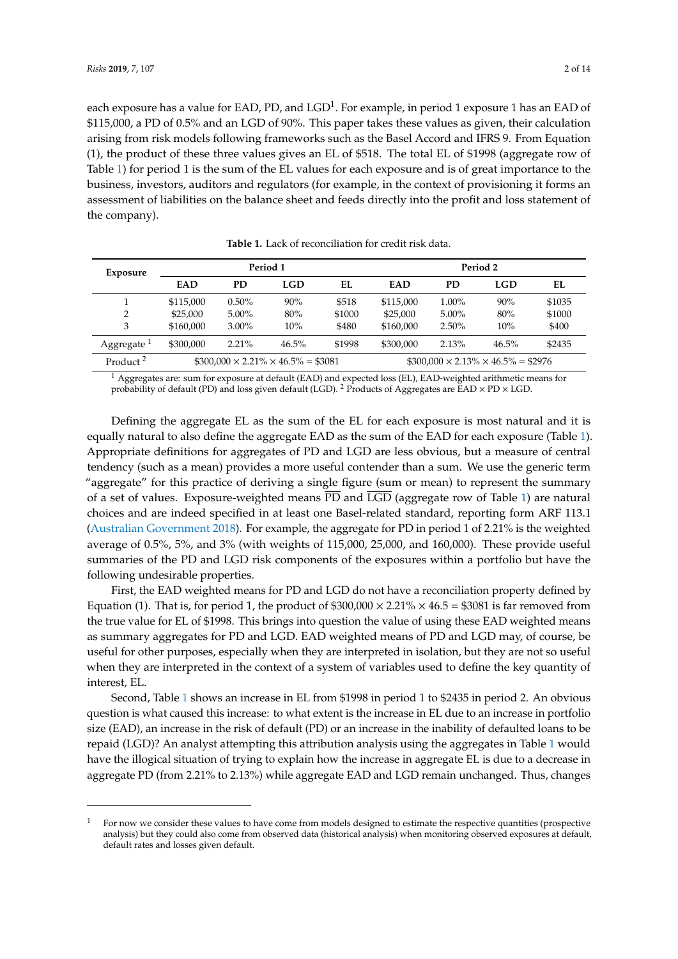each exposure has a value for EAD, PD, and  $\mathrm{LGD^1}.$  For example, in period 1 exposure 1 has an EAD of \$115,000, a PD of 0.5% and an LGD of 90%. This paper takes these values as given, their calculation arising from risk models following frameworks such as the Basel Accord and IFRS 9. From Equation (1), the product of these three values gives an EL of \$518. The total EL of \$1998 (aggregate row of Table [1\)](#page-1-0) for period 1 is the sum of the EL values for each exposure and is of great importance to the business, investors, auditors and regulators (for example, in the context of provisioning it forms an assessment of liabilities on the balance sheet and feeds directly into the profit and loss statement of the company).

<span id="page-1-0"></span>

| Exposure               | Period 1                                       |          |          |                                                | Period 2  |          |            |        |
|------------------------|------------------------------------------------|----------|----------|------------------------------------------------|-----------|----------|------------|--------|
|                        | EAD                                            | PD       | LGD      | EL                                             | EAD       | PD       | <b>LGD</b> | EL     |
|                        | \$115,000                                      | $0.50\%$ | 90%      | \$518                                          | \$115,000 | $1.00\%$ | 90%        | \$1035 |
| 2                      | \$25,000                                       | $5.00\%$ | 80%      | \$1000                                         | \$25,000  | $5.00\%$ | 80%        | \$1000 |
| 3                      | \$160,000                                      | $3.00\%$ | 10%      | \$480                                          | \$160,000 | $2.50\%$ | 10%        | \$400  |
| Aggregate <sup>1</sup> | \$300,000                                      | $2.21\%$ | $46.5\%$ | \$1998                                         | \$300,000 | 2.13%    | $46.5\%$   | \$2435 |
| Product <sup>2</sup>   | $$300,000 \times 2.21\% \times 46.5\% = $3081$ |          |          | $$300,000 \times 2.13\% \times 46.5\% = $2976$ |           |          |            |        |

**Table 1.** Lack of reconciliation for credit risk data.

<sup>1</sup> Aggregates are: sum for exposure at default (EAD) and expected loss (EL), EAD-weighted arithmetic means for probability of default (PD) and loss given default (LGD). <sup>2</sup> Products of Aggregates are EAD  $\times$  PD  $\times$  LGD.

Defining the aggregate EL as the sum of the EL for each exposure is most natural and it is equally natural to also define the aggregate EAD as the sum of the EAD for each exposure (Table [1\)](#page-1-0). Appropriate definitions for aggregates of PD and LGD are less obvious, but a measure of central tendency (such as a mean) provides a more useful contender than a sum. We use the generic term "aggregate" for this practice of deriving a single figure (sum or mean) to represent the summary of a set of values. Exposure-weighted means PD and LGD (aggregate row of Table [1\)](#page-1-0) are natural choices and are indeed specified in at least one Basel-related standard, reporting form ARF 113.1 [\(Australian Government](#page-13-2) [2018\)](#page-13-2). For example, the aggregate for PD in period 1 of 2.21% is the weighted average of 0.5%, 5%, and 3% (with weights of 115,000, 25,000, and 160,000). These provide useful summaries of the PD and LGD risk components of the exposures within a portfolio but have the following undesirable properties.

First, the EAD weighted means for PD and LGD do not have a reconciliation property defined by Equation (1). That is, for period 1, the product of  $$300,000 \times 2.21\% \times 46.5 = $3081$  is far removed from the true value for EL of \$1998. This brings into question the value of using these EAD weighted means as summary aggregates for PD and LGD. EAD weighted means of PD and LGD may, of course, be useful for other purposes, especially when they are interpreted in isolation, but they are not so useful when they are interpreted in the context of a system of variables used to define the key quantity of interest, EL.

Second, Table [1](#page-1-0) shows an increase in EL from \$1998 in period 1 to \$2435 in period 2. An obvious question is what caused this increase: to what extent is the increase in EL due to an increase in portfolio size (EAD), an increase in the risk of default (PD) or an increase in the inability of defaulted loans to be repaid (LGD)? An analyst attempting this attribution analysis using the aggregates in Table [1](#page-1-0) would have the illogical situation of trying to explain how the increase in aggregate EL is due to a decrease in aggregate PD (from 2.21% to 2.13%) while aggregate EAD and LGD remain unchanged. Thus, changes

<sup>1</sup> For now we consider these values to have come from models designed to estimate the respective quantities (prospective analysis) but they could also come from observed data (historical analysis) when monitoring observed exposures at default, default rates and losses given default.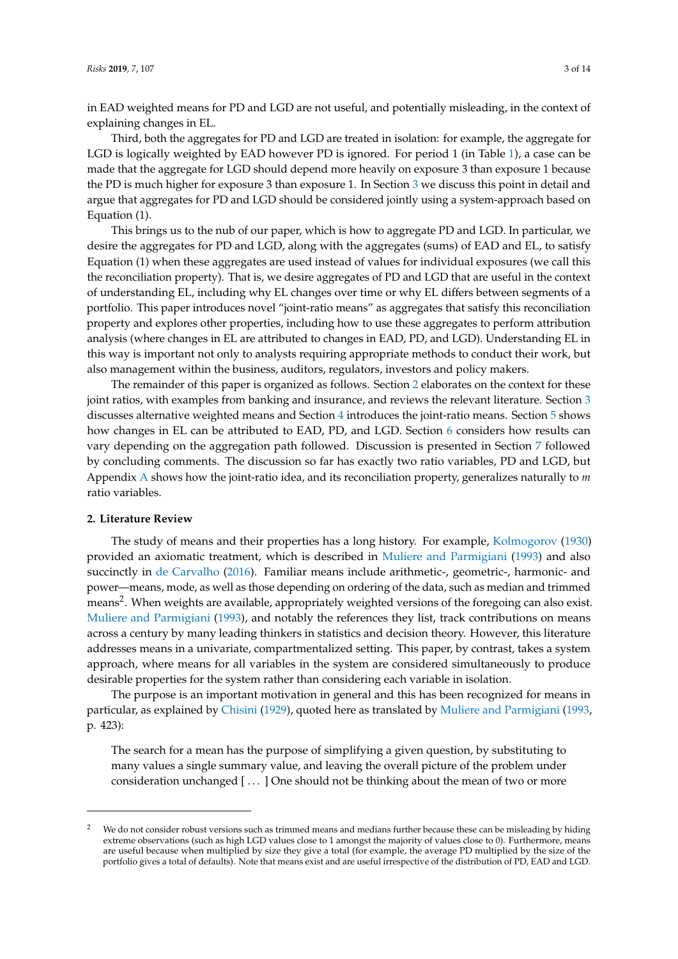in EAD weighted means for PD and LGD are not useful, and potentially misleading, in the context of explaining changes in EL.

Third, both the aggregates for PD and LGD are treated in isolation: for example, the aggregate for LGD is logically weighted by EAD however PD is ignored. For period 1 (in Table [1\)](#page-1-0), a case can be made that the aggregate for LGD should depend more heavily on exposure 3 than exposure 1 because the PD is much higher for exposure 3 than exposure 1. In Section [3](#page-4-0) we discuss this point in detail and argue that aggregates for PD and LGD should be considered jointly using a system-approach based on Equation (1).

This brings us to the nub of our paper, which is how to aggregate PD and LGD. In particular, we desire the aggregates for PD and LGD, along with the aggregates (sums) of EAD and EL, to satisfy Equation (1) when these aggregates are used instead of values for individual exposures (we call this the reconciliation property). That is, we desire aggregates of PD and LGD that are useful in the context of understanding EL, including why EL changes over time or why EL differs between segments of a portfolio. This paper introduces novel "joint-ratio means" as aggregates that satisfy this reconciliation property and explores other properties, including how to use these aggregates to perform attribution analysis (where changes in EL are attributed to changes in EAD, PD, and LGD). Understanding EL in this way is important not only to analysts requiring appropriate methods to conduct their work, but also management within the business, auditors, regulators, investors and policy makers.

The remainder of this paper is organized as follows. Section [2](#page-2-0) elaborates on the context for these joint ratios, with examples from banking and insurance, and reviews the relevant literature. Section [3](#page-4-0) discusses alternative weighted means and Section [4](#page-6-0) introduces the joint-ratio means. Section [5](#page-7-0) shows how changes in EL can be attributed to EAD, PD, and LGD. Section [6](#page-8-0) considers how results can vary depending on the aggregation path followed. Discussion is presented in Section [7](#page-9-0) followed by concluding comments. The discussion so far has exactly two ratio variables, PD and LGD, but Appendix [A](#page-11-0) shows how the joint-ratio idea, and its reconciliation property, generalizes naturally to *m* ratio variables.

## <span id="page-2-0"></span>**2. Literature Review**

The study of means and their properties has a long history. For example, [Kolmogorov](#page-13-3) [\(1930\)](#page-13-3) provided an axiomatic treatment, which is described in [Muliere and Parmigiani](#page-13-4) [\(1993\)](#page-13-4) and also succinctly in [de Carvalho](#page-13-5) [\(2016\)](#page-13-5). Familiar means include arithmetic-, geometric-, harmonic- and power—means, mode, as well as those depending on ordering of the data, such as median and trimmed means<sup>2</sup>. When weights are available, appropriately weighted versions of the foregoing can also exist. [Muliere and Parmigiani](#page-13-4) [\(1993\)](#page-13-4), and notably the references they list, track contributions on means across a century by many leading thinkers in statistics and decision theory. However, this literature addresses means in a univariate, compartmentalized setting. This paper, by contrast, takes a system approach, where means for all variables in the system are considered simultaneously to produce desirable properties for the system rather than considering each variable in isolation.

The purpose is an important motivation in general and this has been recognized for means in particular, as explained by [Chisini](#page-13-6) [\(1929\)](#page-13-6), quoted here as translated by [Muliere and Parmigiani](#page-13-4) [\(1993,](#page-13-4) p. 423):

The search for a mean has the purpose of simplifying a given question, by substituting to many values a single summary value, and leaving the overall picture of the problem under consideration unchanged [ . . . ] One should not be thinking about the mean of two or more

<sup>&</sup>lt;sup>2</sup> We do not consider robust versions such as trimmed means and medians further because these can be misleading by hiding extreme observations (such as high LGD values close to 1 amongst the majority of values close to 0). Furthermore, means are useful because when multiplied by size they give a total (for example, the average PD multiplied by the size of the portfolio gives a total of defaults). Note that means exist and are useful irrespective of the distribution of PD, EAD and LGD.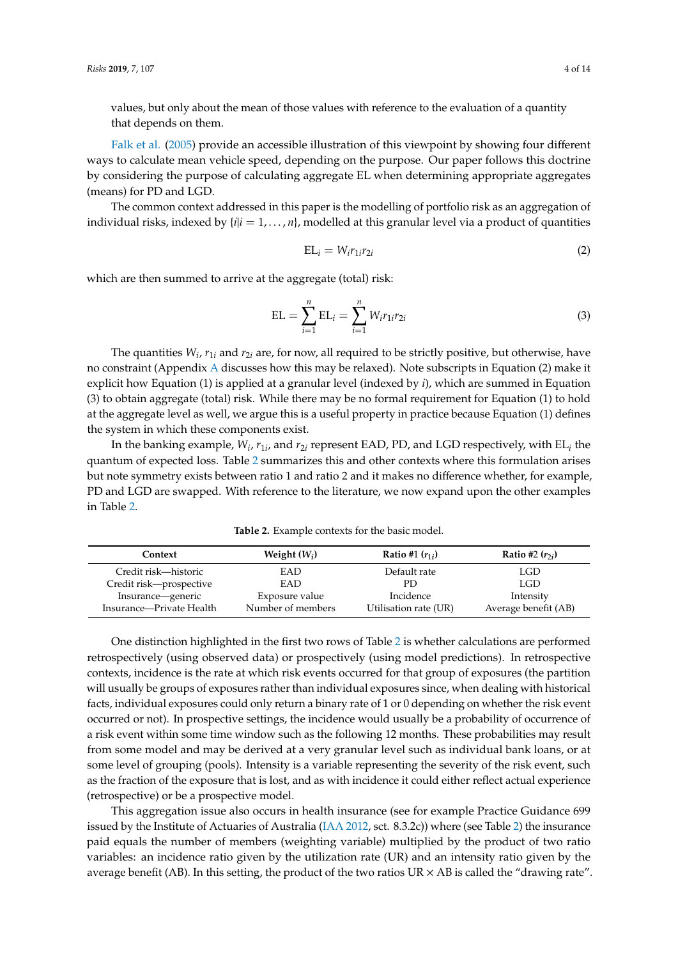values, but only about the mean of those values with reference to the evaluation of a quantity that depends on them.

[Falk et al.](#page-13-7) [\(2005\)](#page-13-7) provide an accessible illustration of this viewpoint by showing four different ways to calculate mean vehicle speed, depending on the purpose. Our paper follows this doctrine by considering the purpose of calculating aggregate EL when determining appropriate aggregates (means) for PD and LGD.

The common context addressed in this paper is the modelling of portfolio risk as an aggregation of individual risks, indexed by  $\{i|i = 1, \ldots, n\}$ , modelled at this granular level via a product of quantities

$$
EL_i = W_i r_{1i} r_{2i}
$$
 (2)

which are then summed to arrive at the aggregate (total) risk:

$$
EL = \sum_{i=1}^{n} EL_i = \sum_{i=1}^{n} W_i r_{1i} r_{2i}
$$
 (3)

The quantities *W<sup>i</sup>* , *r*1*<sup>i</sup>* and *r*2*<sup>i</sup>* are, for now, all required to be strictly positive, but otherwise, have no constraint (Appendix [A](#page-11-0) discusses how this may be relaxed). Note subscripts in Equation (2) make it explicit how Equation (1) is applied at a granular level (indexed by *i*), which are summed in Equation (3) to obtain aggregate (total) risk. While there may be no formal requirement for Equation (1) to hold at the aggregate level as well, we argue this is a useful property in practice because Equation (1) defines the system in which these components exist.

In the banking example,  $W_i$ ,  $r_{1i}$ , and  $r_{2i}$  represent EAD, PD, and LGD respectively, with EL<sub>i</sub> the quantum of expected loss. Table [2](#page-3-0) summarizes this and other contexts where this formulation arises but note symmetry exists between ratio 1 and ratio 2 and it makes no difference whether, for example, PD and LGD are swapped. With reference to the literature, we now expand upon the other examples in Table [2.](#page-3-0)

**Table 2.** Example contexts for the basic model.

<span id="page-3-0"></span>

| Context                  | Weight $(W_i)$    | <b>Ratio</b> #1 $(r_{1i})$ | <b>Ratio</b> #2 $(r_{2i})$ |
|--------------------------|-------------------|----------------------------|----------------------------|
| Credit risk—historic     | EAD               | Default rate               | LGD                        |
| Credit risk—prospective  | EAD               | PD                         | LGD                        |
| Insurance—generic        | Exposure value    | Incidence                  | Intensity                  |
| Insurance—Private Health | Number of members | Utilisation rate (UR)      | Average benefit (AB)       |

One distinction highlighted in the first two rows of Table [2](#page-3-0) is whether calculations are performed retrospectively (using observed data) or prospectively (using model predictions). In retrospective contexts, incidence is the rate at which risk events occurred for that group of exposures (the partition will usually be groups of exposures rather than individual exposures since, when dealing with historical facts, individual exposures could only return a binary rate of 1 or 0 depending on whether the risk event occurred or not). In prospective settings, the incidence would usually be a probability of occurrence of a risk event within some time window such as the following 12 months. These probabilities may result from some model and may be derived at a very granular level such as individual bank loans, or at some level of grouping (pools). Intensity is a variable representing the severity of the risk event, such as the fraction of the exposure that is lost, and as with incidence it could either reflect actual experience (retrospective) or be a prospective model.

This aggregation issue also occurs in health insurance (see for example Practice Guidance 699 issued by the Institute of Actuaries of Australia [\(IAA](#page-13-8) [2012,](#page-13-8) sct. 8.3.2c)) where (see Table [2\)](#page-3-0) the insurance paid equals the number of members (weighting variable) multiplied by the product of two ratio variables: an incidence ratio given by the utilization rate (UR) and an intensity ratio given by the average benefit (AB). In this setting, the product of the two ratios  $UR \times AB$  is called the "drawing rate".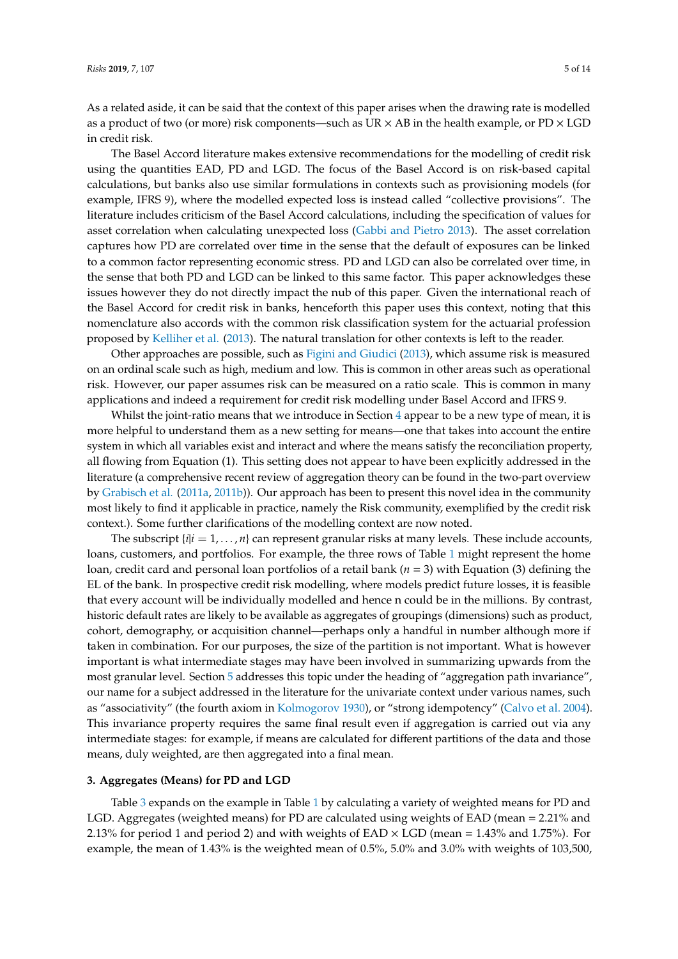As a related aside, it can be said that the context of this paper arises when the drawing rate is modelled as a product of two (or more) risk components—such as  $UR \times AB$  in the health example, or  $PD \times LGD$ in credit risk.

The Basel Accord literature makes extensive recommendations for the modelling of credit risk using the quantities EAD, PD and LGD. The focus of the Basel Accord is on risk-based capital calculations, but banks also use similar formulations in contexts such as provisioning models (for example, IFRS 9), where the modelled expected loss is instead called "collective provisions". The literature includes criticism of the Basel Accord calculations, including the specification of values for asset correlation when calculating unexpected loss [\(Gabbi and Pietro](#page-13-9) [2013\)](#page-13-9). The asset correlation captures how PD are correlated over time in the sense that the default of exposures can be linked to a common factor representing economic stress. PD and LGD can also be correlated over time, in the sense that both PD and LGD can be linked to this same factor. This paper acknowledges these issues however they do not directly impact the nub of this paper. Given the international reach of the Basel Accord for credit risk in banks, henceforth this paper uses this context, noting that this nomenclature also accords with the common risk classification system for the actuarial profession proposed by [Kelliher et al.](#page-13-10) [\(2013\)](#page-13-10). The natural translation for other contexts is left to the reader.

Other approaches are possible, such as [Figini and Giudici](#page-13-11) [\(2013\)](#page-13-11), which assume risk is measured on an ordinal scale such as high, medium and low. This is common in other areas such as operational risk. However, our paper assumes risk can be measured on a ratio scale. This is common in many applications and indeed a requirement for credit risk modelling under Basel Accord and IFRS 9.

Whilst the joint-ratio means that we introduce in Section [4](#page-6-0) appear to be a new type of mean, it is more helpful to understand them as a new setting for means—one that takes into account the entire system in which all variables exist and interact and where the means satisfy the reconciliation property, all flowing from Equation (1). This setting does not appear to have been explicitly addressed in the literature (a comprehensive recent review of aggregation theory can be found in the two-part overview by [Grabisch et al.](#page-13-12) [\(2011a,](#page-13-12) [2011b\)](#page-13-13)). Our approach has been to present this novel idea in the community most likely to find it applicable in practice, namely the Risk community, exemplified by the credit risk context.). Some further clarifications of the modelling context are now noted.

The subscript  $\{i|i = 1, \ldots, n\}$  can represent granular risks at many levels. These include accounts, loans, customers, and portfolios. For example, the three rows of Table [1](#page-1-0) might represent the home loan, credit card and personal loan portfolios of a retail bank (*n* = 3) with Equation (3) defining the EL of the bank. In prospective credit risk modelling, where models predict future losses, it is feasible that every account will be individually modelled and hence n could be in the millions. By contrast, historic default rates are likely to be available as aggregates of groupings (dimensions) such as product, cohort, demography, or acquisition channel—perhaps only a handful in number although more if taken in combination. For our purposes, the size of the partition is not important. What is however important is what intermediate stages may have been involved in summarizing upwards from the most granular level. Section [5](#page-7-0) addresses this topic under the heading of "aggregation path invariance", our name for a subject addressed in the literature for the univariate context under various names, such as "associativity" (the fourth axiom in [Kolmogorov](#page-13-3) [1930\)](#page-13-3), or "strong idempotency" [\(Calvo et al.](#page-13-14) [2004\)](#page-13-14). This invariance property requires the same final result even if aggregation is carried out via any intermediate stages: for example, if means are calculated for different partitions of the data and those means, duly weighted, are then aggregated into a final mean.

# <span id="page-4-0"></span>**3. Aggregates (Means) for PD and LGD**

Table [3](#page-5-0) expands on the example in Table [1](#page-1-0) by calculating a variety of weighted means for PD and LGD. Aggregates (weighted means) for PD are calculated using weights of EAD (mean = 2.21% and 2.13% for period 1 and period 2) and with weights of  $EAD \times LGD$  (mean = 1.43% and 1.75%). For example, the mean of 1.43% is the weighted mean of 0.5%, 5.0% and 3.0% with weights of 103,500,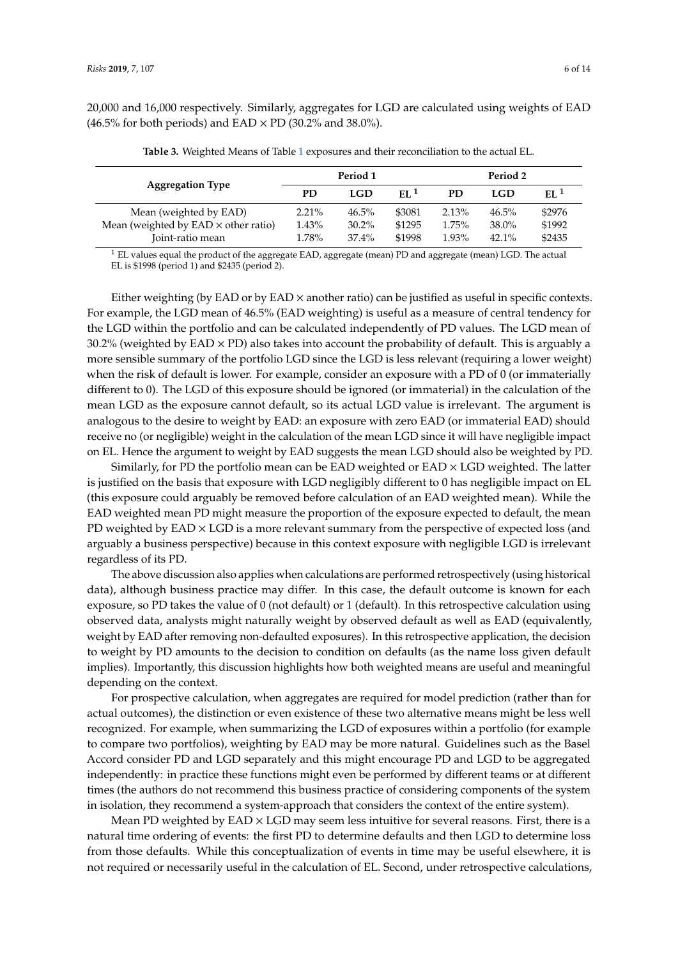20,000 and 16,000 respectively. Similarly, aggregates for LGD are calculated using weights of EAD (46.5% for both periods) and EAD  $\times$  PD (30.2% and 38.0%).

<span id="page-5-0"></span>

|                                             | Period 1 |          |        | Period 2 |          |        |
|---------------------------------------------|----------|----------|--------|----------|----------|--------|
| <b>Aggregation Type</b>                     | PD       | LGD      | $EL^1$ | PD       | LGD      | $EL^1$ |
| Mean (weighted by EAD)                      | 2.21%    | $46.5\%$ | \$3081 | 2.13%    | 46.5%    | \$2976 |
| Mean (weighted by EAD $\times$ other ratio) | $1.43\%$ | $30.2\%$ | \$1295 | $1.75\%$ | 38.0%    | \$1992 |
| Joint-ratio mean                            | 1.78%    | $37.4\%$ | \$1998 | $1.93\%$ | $42.1\%$ | \$2435 |

**Table 3.** Weighted Means of Table [1](#page-1-0) exposures and their reconciliation to the actual EL.

 $1$  EL values equal the product of the aggregate EAD, aggregate (mean) PD and aggregate (mean) LGD. The actual EL is \$1998 (period 1) and \$2435 (period 2).

Either weighting (by EAD or by EAD  $\times$  another ratio) can be justified as useful in specific contexts. For example, the LGD mean of 46.5% (EAD weighting) is useful as a measure of central tendency for the LGD within the portfolio and can be calculated independently of PD values. The LGD mean of  $30.2\%$  (weighted by EAD  $\times$  PD) also takes into account the probability of default. This is arguably a more sensible summary of the portfolio LGD since the LGD is less relevant (requiring a lower weight) when the risk of default is lower. For example, consider an exposure with a PD of 0 (or immaterially different to 0). The LGD of this exposure should be ignored (or immaterial) in the calculation of the mean LGD as the exposure cannot default, so its actual LGD value is irrelevant. The argument is analogous to the desire to weight by EAD: an exposure with zero EAD (or immaterial EAD) should receive no (or negligible) weight in the calculation of the mean LGD since it will have negligible impact on EL. Hence the argument to weight by EAD suggests the mean LGD should also be weighted by PD.

Similarly, for PD the portfolio mean can be EAD weighted or  $EAD \times LGD$  weighted. The latter is justified on the basis that exposure with LGD negligibly different to 0 has negligible impact on EL (this exposure could arguably be removed before calculation of an EAD weighted mean). While the EAD weighted mean PD might measure the proportion of the exposure expected to default, the mean PD weighted by  $EAD \times LGD$  is a more relevant summary from the perspective of expected loss (and arguably a business perspective) because in this context exposure with negligible LGD is irrelevant regardless of its PD.

The above discussion also applies when calculations are performed retrospectively (using historical data), although business practice may differ. In this case, the default outcome is known for each exposure, so PD takes the value of 0 (not default) or 1 (default). In this retrospective calculation using observed data, analysts might naturally weight by observed default as well as EAD (equivalently, weight by EAD after removing non-defaulted exposures). In this retrospective application, the decision to weight by PD amounts to the decision to condition on defaults (as the name loss given default implies). Importantly, this discussion highlights how both weighted means are useful and meaningful depending on the context.

For prospective calculation, when aggregates are required for model prediction (rather than for actual outcomes), the distinction or even existence of these two alternative means might be less well recognized. For example, when summarizing the LGD of exposures within a portfolio (for example to compare two portfolios), weighting by EAD may be more natural. Guidelines such as the Basel Accord consider PD and LGD separately and this might encourage PD and LGD to be aggregated independently: in practice these functions might even be performed by different teams or at different times (the authors do not recommend this business practice of considering components of the system in isolation, they recommend a system-approach that considers the context of the entire system).

Mean PD weighted by  $EAD \times LGD$  may seem less intuitive for several reasons. First, there is a natural time ordering of events: the first PD to determine defaults and then LGD to determine loss from those defaults. While this conceptualization of events in time may be useful elsewhere, it is not required or necessarily useful in the calculation of EL. Second, under retrospective calculations,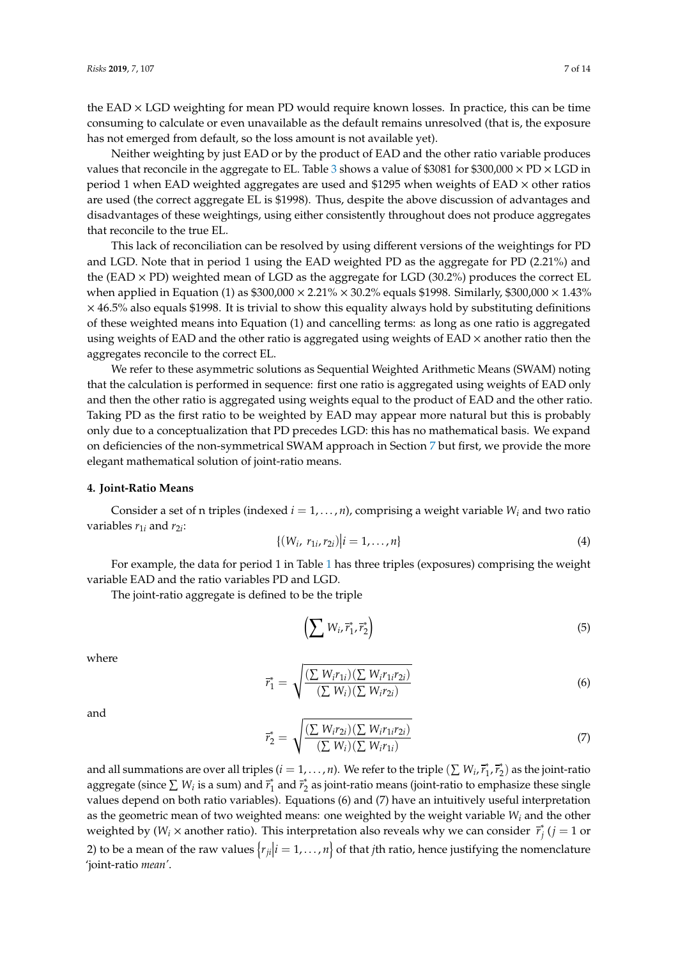the EAD  $\times$  LGD weighting for mean PD would require known losses. In practice, this can be time consuming to calculate or even unavailable as the default remains unresolved (that is, the exposure has not emerged from default, so the loss amount is not available yet).

Neither weighting by just EAD or by the product of EAD and the other ratio variable produces values that reconcile in the aggregate to EL. Table [3](#page-5-0) shows a value of \$3081 for \$300,000  $\times$  PD  $\times$  LGD in period 1 when EAD weighted aggregates are used and \$1295 when weights of EAD  $\times$  other ratios are used (the correct aggregate EL is \$1998). Thus, despite the above discussion of advantages and disadvantages of these weightings, using either consistently throughout does not produce aggregates that reconcile to the true EL.

This lack of reconciliation can be resolved by using different versions of the weightings for PD and LGD. Note that in period 1 using the EAD weighted PD as the aggregate for PD (2.21%) and the (EAD  $\times$  PD) weighted mean of LGD as the aggregate for LGD (30.2%) produces the correct EL when applied in Equation (1) as  $$300,000 \times 2.21\% \times 30.2\%$  equals \$1998. Similarly, \$300,000  $\times$  1.43%  $\times$  46.5% also equals \$1998. It is trivial to show this equality always hold by substituting definitions of these weighted means into Equation (1) and cancelling terms: as long as one ratio is aggregated using weights of EAD and the other ratio is aggregated using weights of EAD  $\times$  another ratio then the aggregates reconcile to the correct EL.

We refer to these asymmetric solutions as Sequential Weighted Arithmetic Means (SWAM) noting that the calculation is performed in sequence: first one ratio is aggregated using weights of EAD only and then the other ratio is aggregated using weights equal to the product of EAD and the other ratio. Taking PD as the first ratio to be weighted by EAD may appear more natural but this is probably only due to a conceptualization that PD precedes LGD: this has no mathematical basis. We expand on deficiencies of the non-symmetrical SWAM approach in Section [7](#page-9-0) but first, we provide the more elegant mathematical solution of joint-ratio means.

#### <span id="page-6-0"></span>**4. Joint-Ratio Means**

Consider a set of n triples (indexed  $i = 1, \ldots, n$ ), comprising a weight variable  $W_i$  and two ratio variables *r*1*<sup>i</sup>* and *r*2*<sup>i</sup>* :

$$
\{(W_i, r_{1i}, r_{2i})|i = 1, ..., n\}
$$
 (4)

For example, the data for period 1 in Table [1](#page-1-0) has three triples (exposures) comprising the weight variable EAD and the ratio variables PD and LGD.

The joint-ratio aggregate is defined to be the triple

$$
\left(\sum W_i, \vec{r}_1^*, \vec{r}_2^*\right) \tag{5}
$$

where

$$
\overline{r}_1^* = \sqrt{\frac{\left(\sum W_i r_{1i}\right)\left(\sum W_i r_{1i} r_{2i}\right)}{\left(\sum W_i\right)\left(\sum W_i r_{2i}\right)}}
$$
(6)

and

$$
\overline{r}_2^* = \sqrt{\frac{\left(\sum W_i r_{2i}\right)\left(\sum W_i r_{1i} r_{2i}\right)}{\left(\sum W_i\right)\left(\sum W_i r_{1i}\right)}}
$$
\n(7)

and all summations are over all triples ( $i = 1, ..., n$ ). We refer to the triple ( $\sum W_i$ ,  $\vec{r}_1$ 1 ,*r* ∗  $\binom{1}{2}$  as the joint-ratio aggregate (since P *W<sup>i</sup>* is a sum) and *r* ∗  $\bar{r}_1^*$  and  $\bar{r}_2^*$  $\frac{1}{2}$  as joint-ratio means (joint-ratio to emphasize these single values depend on both ratio variables). Equations (6) and (7) have an intuitively useful interpretation as the geometric mean of two weighted means: one weighted by the weight variable *W<sup>i</sup>* and the other weighted by (*W<sub>i</sub>* × another ratio). This interpretation also reveals why we can consider  $\vec{r}_i$  $j \nmid j = 1$  or 2) to be a mean of the raw values  $\left\{ r_{ji}| i=1,\ldots,n\right\}$  of that *j*th ratio, hence justifying the nomenclature 'joint-ratio *mean'*.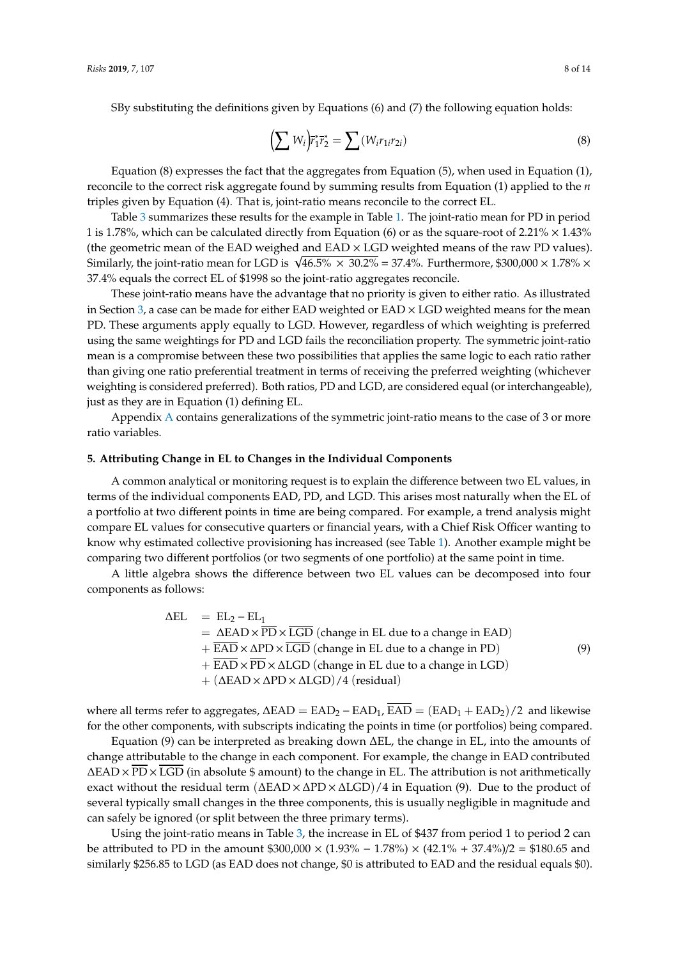SBy substituting the definitions given by Equations (6) and (7) the following equation holds:

$$
\left(\sum W_i\right)\vec{r}_1^* \vec{r}_2^* = \sum \left(W_i r_{1i} r_{2i}\right) \tag{8}
$$

Equation (8) expresses the fact that the aggregates from Equation (5), when used in Equation (1), reconcile to the correct risk aggregate found by summing results from Equation (1) applied to the *n* triples given by Equation (4). That is, joint-ratio means reconcile to the correct EL.

Table [3](#page-5-0) summarizes these results for the example in Table [1.](#page-1-0) The joint-ratio mean for PD in period 1 is 1.78%, which can be calculated directly from Equation (6) or as the square-root of 2.21% × 1.43% (the geometric mean of the EAD weighed and  $EAD \times LGD$  weighted means of the raw PD values). (the geometric mean of the EAD weighed and EAD × LGD weighted means of the raw PD values)<br>Similarly, the joint-ratio mean for LGD is  $\sqrt{46.5\% \times 30.2\%} = 37.4\%.$  Furthermore, \$300,000 × 1.78% × 37.4% equals the correct EL of \$1998 so the joint-ratio aggregates reconcile.

These joint-ratio means have the advantage that no priority is given to either ratio. As illustrated in Section [3,](#page-4-0) a case can be made for either EAD weighted or  $EAD \times LGD$  weighted means for the mean PD. These arguments apply equally to LGD. However, regardless of which weighting is preferred using the same weightings for PD and LGD fails the reconciliation property. The symmetric joint-ratio mean is a compromise between these two possibilities that applies the same logic to each ratio rather than giving one ratio preferential treatment in terms of receiving the preferred weighting (whichever weighting is considered preferred). Both ratios, PD and LGD, are considered equal (or interchangeable), just as they are in Equation (1) defining EL.

Appendix [A](#page-11-0) contains generalizations of the symmetric joint-ratio means to the case of 3 or more ratio variables.

#### <span id="page-7-0"></span>**5. Attributing Change in EL to Changes in the Individual Components**

A common analytical or monitoring request is to explain the difference between two EL values, in terms of the individual components EAD, PD, and LGD. This arises most naturally when the EL of a portfolio at two different points in time are being compared. For example, a trend analysis might compare EL values for consecutive quarters or financial years, with a Chief Risk Officer wanting to know why estimated collective provisioning has increased (see Table [1\)](#page-1-0). Another example might be comparing two different portfolios (or two segments of one portfolio) at the same point in time.

A little algebra shows the difference between two EL values can be decomposed into four components as follows:

$$
\Delta EL = EL_2 - EL_1
$$
  
=  $\Delta EAD \times \overline{PD} \times \overline{LGD}$  (change in EL due to a change in EAD)  
+  $\overline{EAD} \times \Delta PD \times \overline{LGD}$  (change in EL due to a change in PD)  
+  $\overline{EAD} \times \overline{PD} \times \Delta LGD$  (change in EL due to a change in LGD)  
+  $(\Delta EAD \times \Delta PD \times \Delta LGD)/4$  (residual) (1)

where all terms refer to aggregates,  $\triangle EAD = EAD_2 - EAD_1$ ,  $\overline{EAD} = (EAD_1 + EAD_2)/2$  and likewise for the other components, with subscripts indicating the points in time (or portfolios) being compared.

Equation (9) can be interpreted as breaking down ∆EL, the change in EL, into the amounts of change attributable to the change in each component. For example, the change in EAD contributed  $\Delta$ EAD  $\times$  PD  $\times$  LGD (in absolute \$ amount) to the change in EL. The attribution is not arithmetically exact without the residual term (∆EAD × ∆PD × ∆LGD)/4 in Equation (9). Due to the product of several typically small changes in the three components, this is usually negligible in magnitude and can safely be ignored (or split between the three primary terms).

Using the joint-ratio means in Table [3,](#page-5-0) the increase in EL of \$437 from period 1 to period 2 can be attributed to PD in the amount  $$300,000 \times (1.93\% - 1.78\%) \times (42.1\% + 37.4\%)/2 = $180.65$  and similarly \$256.85 to LGD (as EAD does not change, \$0 is attributed to EAD and the residual equals \$0).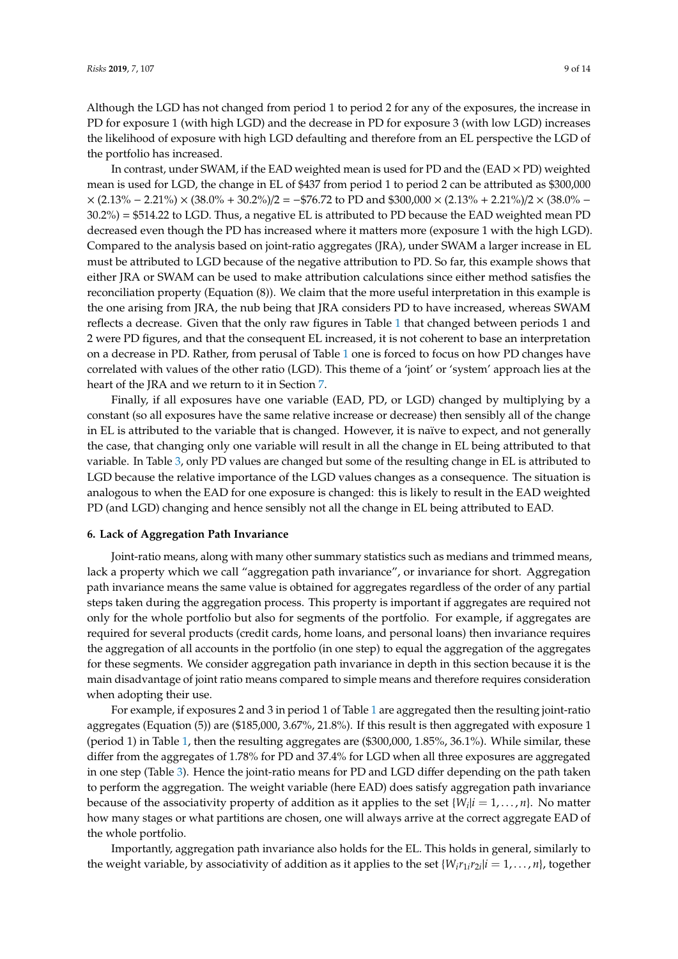Although the LGD has not changed from period 1 to period 2 for any of the exposures, the increase in PD for exposure 1 (with high LGD) and the decrease in PD for exposure 3 (with low LGD) increases the likelihood of exposure with high LGD defaulting and therefore from an EL perspective the LGD of the portfolio has increased.

In contrast, under SWAM, if the EAD weighted mean is used for PD and the  $(EAD \times PD)$  weighted mean is used for LGD, the change in EL of \$437 from period 1 to period 2 can be attributed as \$300,000  $\times$  (2.13% – 2.21%)  $\times$  (38.0% + 30.2%)/2 = −\$76.72 to PD and \$300,000  $\times$  (2.13% + 2.21%)/2  $\times$  (38.0% – 30.2%) = \$514.22 to LGD. Thus, a negative EL is attributed to PD because the EAD weighted mean PD decreased even though the PD has increased where it matters more (exposure 1 with the high LGD). Compared to the analysis based on joint-ratio aggregates (JRA), under SWAM a larger increase in EL must be attributed to LGD because of the negative attribution to PD. So far, this example shows that either JRA or SWAM can be used to make attribution calculations since either method satisfies the reconciliation property (Equation (8)). We claim that the more useful interpretation in this example is the one arising from JRA, the nub being that JRA considers PD to have increased, whereas SWAM reflects a decrease. Given that the only raw figures in Table [1](#page-1-0) that changed between periods 1 and 2 were PD figures, and that the consequent EL increased, it is not coherent to base an interpretation on a decrease in PD. Rather, from perusal of Table [1](#page-1-0) one is forced to focus on how PD changes have correlated with values of the other ratio (LGD). This theme of a 'joint' or 'system' approach lies at the heart of the JRA and we return to it in Section [7.](#page-9-0)

Finally, if all exposures have one variable (EAD, PD, or LGD) changed by multiplying by a constant (so all exposures have the same relative increase or decrease) then sensibly all of the change in EL is attributed to the variable that is changed. However, it is naïve to expect, and not generally the case, that changing only one variable will result in all the change in EL being attributed to that variable. In Table [3,](#page-5-0) only PD values are changed but some of the resulting change in EL is attributed to LGD because the relative importance of the LGD values changes as a consequence. The situation is analogous to when the EAD for one exposure is changed: this is likely to result in the EAD weighted PD (and LGD) changing and hence sensibly not all the change in EL being attributed to EAD.

#### <span id="page-8-0"></span>**6. Lack of Aggregation Path Invariance**

Joint-ratio means, along with many other summary statistics such as medians and trimmed means, lack a property which we call "aggregation path invariance", or invariance for short. Aggregation path invariance means the same value is obtained for aggregates regardless of the order of any partial steps taken during the aggregation process. This property is important if aggregates are required not only for the whole portfolio but also for segments of the portfolio. For example, if aggregates are required for several products (credit cards, home loans, and personal loans) then invariance requires the aggregation of all accounts in the portfolio (in one step) to equal the aggregation of the aggregates for these segments. We consider aggregation path invariance in depth in this section because it is the main disadvantage of joint ratio means compared to simple means and therefore requires consideration when adopting their use.

For example, if exposures 2 and 3 in period 1 of Table [1](#page-1-0) are aggregated then the resulting joint-ratio aggregates (Equation (5)) are (\$185,000, 3.67%, 21.8%). If this result is then aggregated with exposure 1 (period 1) in Table [1,](#page-1-0) then the resulting aggregates are (\$300,000, 1.85%, 36.1%). While similar, these differ from the aggregates of 1.78% for PD and 37.4% for LGD when all three exposures are aggregated in one step (Table [3\)](#page-5-0). Hence the joint-ratio means for PD and LGD differ depending on the path taken to perform the aggregation. The weight variable (here EAD) does satisfy aggregation path invariance because of the associativity property of addition as it applies to the set {*W<sup>i</sup>* |*i* = 1, . . . , *n*}. No matter how many stages or what partitions are chosen, one will always arrive at the correct aggregate EAD of the whole portfolio.

Importantly, aggregation path invariance also holds for the EL. This holds in general, similarly to the weight variable, by associativity of addition as it applies to the set  $\{W_i r_{1i} r_{2i} | i = 1, ..., n\}$ , together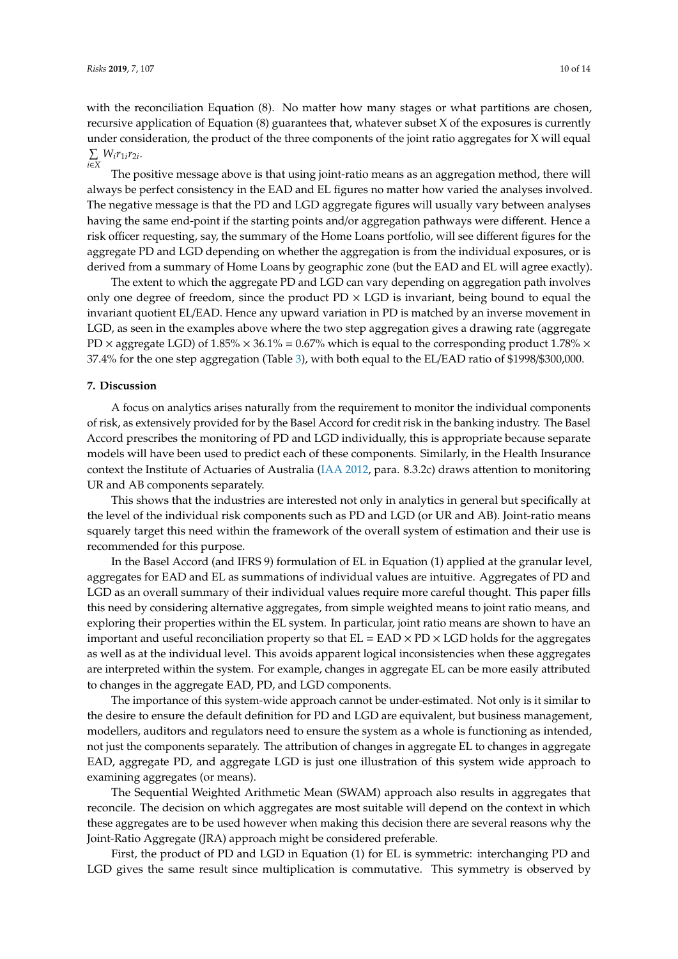with the reconciliation Equation (8). No matter how many stages or what partitions are chosen, recursive application of Equation  $(8)$  guarantees that, whatever subset X of the exposures is currently under consideration, the product of the three components of the joint ratio aggregates for X will equal  $\sum$  $\sum_{i\in X} W_i r_{1i} r_{2i}$ .

The positive message above is that using joint-ratio means as an aggregation method, there will always be perfect consistency in the EAD and EL figures no matter how varied the analyses involved. The negative message is that the PD and LGD aggregate figures will usually vary between analyses having the same end-point if the starting points and/or aggregation pathways were different. Hence a risk officer requesting, say, the summary of the Home Loans portfolio, will see different figures for the aggregate PD and LGD depending on whether the aggregation is from the individual exposures, or is derived from a summary of Home Loans by geographic zone (but the EAD and EL will agree exactly).

The extent to which the aggregate PD and LGD can vary depending on aggregation path involves only one degree of freedom, since the product  $PD \times LGD$  is invariant, being bound to equal the invariant quotient EL/EAD. Hence any upward variation in PD is matched by an inverse movement in LGD, as seen in the examples above where the two step aggregation gives a drawing rate (aggregate PD  $\times$  aggregate LGD) of 1.85%  $\times$  36.1% = 0.67% which is equal to the corresponding product 1.78%  $\times$ 37.4% for the one step aggregation (Table [3\)](#page-5-0), with both equal to the EL/EAD ratio of \$1998/\$300,000.

#### <span id="page-9-0"></span>**7. Discussion**

A focus on analytics arises naturally from the requirement to monitor the individual components of risk, as extensively provided for by the Basel Accord for credit risk in the banking industry. The Basel Accord prescribes the monitoring of PD and LGD individually, this is appropriate because separate models will have been used to predict each of these components. Similarly, in the Health Insurance context the Institute of Actuaries of Australia [\(IAA](#page-13-8) [2012,](#page-13-8) para. 8.3.2c) draws attention to monitoring UR and AB components separately.

This shows that the industries are interested not only in analytics in general but specifically at the level of the individual risk components such as PD and LGD (or UR and AB). Joint-ratio means squarely target this need within the framework of the overall system of estimation and their use is recommended for this purpose.

In the Basel Accord (and IFRS 9) formulation of EL in Equation (1) applied at the granular level, aggregates for EAD and EL as summations of individual values are intuitive. Aggregates of PD and LGD as an overall summary of their individual values require more careful thought. This paper fills this need by considering alternative aggregates, from simple weighted means to joint ratio means, and exploring their properties within the EL system. In particular, joint ratio means are shown to have an important and useful reconciliation property so that  $EL = EAD \times PD \times LGD$  holds for the aggregates as well as at the individual level. This avoids apparent logical inconsistencies when these aggregates are interpreted within the system. For example, changes in aggregate EL can be more easily attributed to changes in the aggregate EAD, PD, and LGD components.

The importance of this system-wide approach cannot be under-estimated. Not only is it similar to the desire to ensure the default definition for PD and LGD are equivalent, but business management, modellers, auditors and regulators need to ensure the system as a whole is functioning as intended, not just the components separately. The attribution of changes in aggregate EL to changes in aggregate EAD, aggregate PD, and aggregate LGD is just one illustration of this system wide approach to examining aggregates (or means).

The Sequential Weighted Arithmetic Mean (SWAM) approach also results in aggregates that reconcile. The decision on which aggregates are most suitable will depend on the context in which these aggregates are to be used however when making this decision there are several reasons why the Joint-Ratio Aggregate (JRA) approach might be considered preferable.

First, the product of PD and LGD in Equation (1) for EL is symmetric: interchanging PD and LGD gives the same result since multiplication is commutative. This symmetry is observed by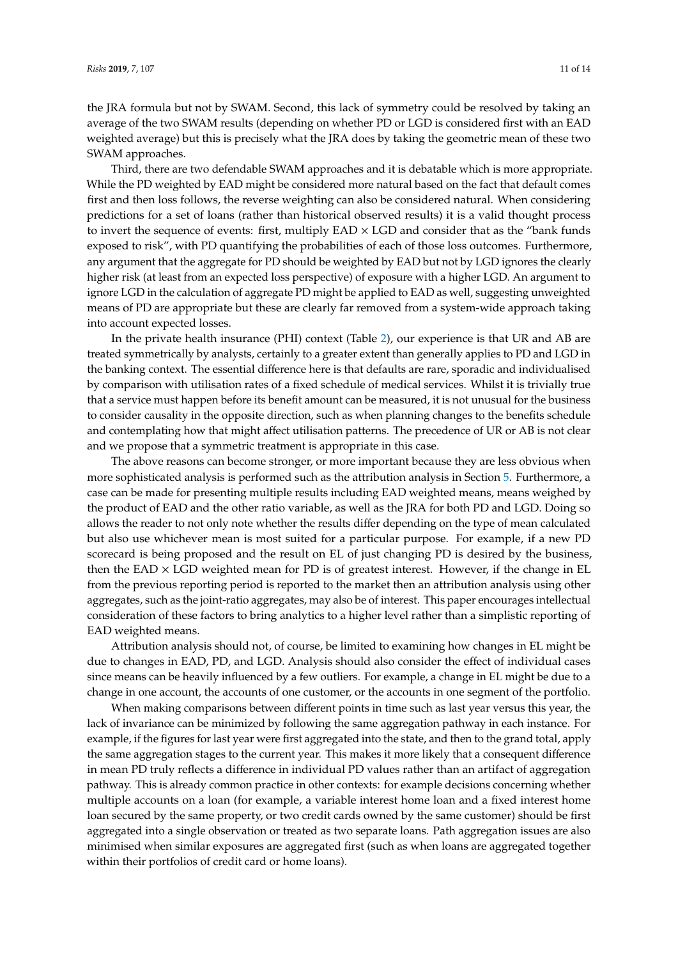the JRA formula but not by SWAM. Second, this lack of symmetry could be resolved by taking an average of the two SWAM results (depending on whether PD or LGD is considered first with an EAD weighted average) but this is precisely what the JRA does by taking the geometric mean of these two SWAM approaches.

Third, there are two defendable SWAM approaches and it is debatable which is more appropriate. While the PD weighted by EAD might be considered more natural based on the fact that default comes first and then loss follows, the reverse weighting can also be considered natural. When considering predictions for a set of loans (rather than historical observed results) it is a valid thought process to invert the sequence of events: first, multiply  $EAD \times LGD$  and consider that as the "bank funds" exposed to risk", with PD quantifying the probabilities of each of those loss outcomes. Furthermore, any argument that the aggregate for PD should be weighted by EAD but not by LGD ignores the clearly higher risk (at least from an expected loss perspective) of exposure with a higher LGD. An argument to ignore LGD in the calculation of aggregate PD might be applied to EAD as well, suggesting unweighted means of PD are appropriate but these are clearly far removed from a system-wide approach taking into account expected losses.

In the private health insurance (PHI) context (Table [2\)](#page-3-0), our experience is that UR and AB are treated symmetrically by analysts, certainly to a greater extent than generally applies to PD and LGD in the banking context. The essential difference here is that defaults are rare, sporadic and individualised by comparison with utilisation rates of a fixed schedule of medical services. Whilst it is trivially true that a service must happen before its benefit amount can be measured, it is not unusual for the business to consider causality in the opposite direction, such as when planning changes to the benefits schedule and contemplating how that might affect utilisation patterns. The precedence of UR or AB is not clear and we propose that a symmetric treatment is appropriate in this case.

The above reasons can become stronger, or more important because they are less obvious when more sophisticated analysis is performed such as the attribution analysis in Section [5.](#page-7-0) Furthermore, a case can be made for presenting multiple results including EAD weighted means, means weighed by the product of EAD and the other ratio variable, as well as the JRA for both PD and LGD. Doing so allows the reader to not only note whether the results differ depending on the type of mean calculated but also use whichever mean is most suited for a particular purpose. For example, if a new PD scorecard is being proposed and the result on EL of just changing PD is desired by the business, then the EAD  $\times$  LGD weighted mean for PD is of greatest interest. However, if the change in EL from the previous reporting period is reported to the market then an attribution analysis using other aggregates, such as the joint-ratio aggregates, may also be of interest. This paper encourages intellectual consideration of these factors to bring analytics to a higher level rather than a simplistic reporting of EAD weighted means.

Attribution analysis should not, of course, be limited to examining how changes in EL might be due to changes in EAD, PD, and LGD. Analysis should also consider the effect of individual cases since means can be heavily influenced by a few outliers. For example, a change in EL might be due to a change in one account, the accounts of one customer, or the accounts in one segment of the portfolio.

When making comparisons between different points in time such as last year versus this year, the lack of invariance can be minimized by following the same aggregation pathway in each instance. For example, if the figures for last year were first aggregated into the state, and then to the grand total, apply the same aggregation stages to the current year. This makes it more likely that a consequent difference in mean PD truly reflects a difference in individual PD values rather than an artifact of aggregation pathway. This is already common practice in other contexts: for example decisions concerning whether multiple accounts on a loan (for example, a variable interest home loan and a fixed interest home loan secured by the same property, or two credit cards owned by the same customer) should be first aggregated into a single observation or treated as two separate loans. Path aggregation issues are also minimised when similar exposures are aggregated first (such as when loans are aggregated together within their portfolios of credit card or home loans).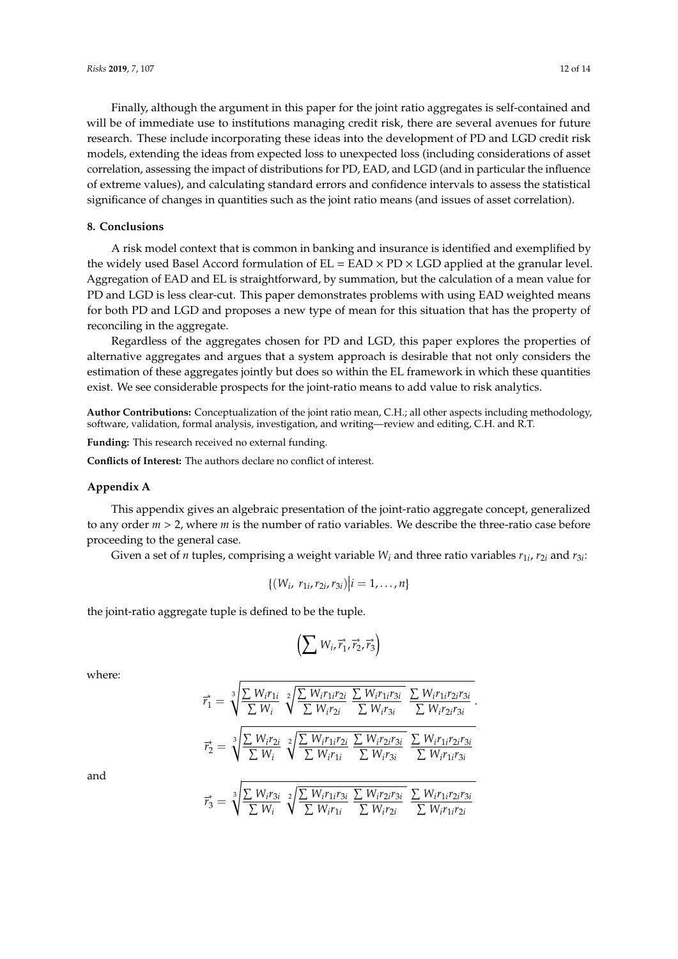Finally, although the argument in this paper for the joint ratio aggregates is self-contained and will be of immediate use to institutions managing credit risk, there are several avenues for future research. These include incorporating these ideas into the development of PD and LGD credit risk models, extending the ideas from expected loss to unexpected loss (including considerations of asset correlation, assessing the impact of distributions for PD, EAD, and LGD (and in particular the influence of extreme values), and calculating standard errors and confidence intervals to assess the statistical significance of changes in quantities such as the joint ratio means (and issues of asset correlation).

#### **8. Conclusions**

A risk model context that is common in banking and insurance is identified and exemplified by the widely used Basel Accord formulation of  $EL = EAD \times PD \times LGD$  applied at the granular level. Aggregation of EAD and EL is straightforward, by summation, but the calculation of a mean value for PD and LGD is less clear-cut. This paper demonstrates problems with using EAD weighted means for both PD and LGD and proposes a new type of mean for this situation that has the property of reconciling in the aggregate.

Regardless of the aggregates chosen for PD and LGD, this paper explores the properties of alternative aggregates and argues that a system approach is desirable that not only considers the estimation of these aggregates jointly but does so within the EL framework in which these quantities exist. We see considerable prospects for the joint-ratio means to add value to risk analytics.

**Author Contributions:** Conceptualization of the joint ratio mean, C.H.; all other aspects including methodology, software, validation, formal analysis, investigation, and writing—review and editing, C.H. and R.T.

**Funding:** This research received no external funding.

**Conflicts of Interest:** The authors declare no conflict of interest.

#### <span id="page-11-0"></span>**Appendix A**

This appendix gives an algebraic presentation of the joint-ratio aggregate concept, generalized to any order *m* > 2, where *m* is the number of ratio variables. We describe the three-ratio case before proceeding to the general case.

Given a set of *n* tuples, comprising a weight variable  $W_i$  and three ratio variables  $r_{1i}$ ,  $r_{2i}$  and  $r_{3i}$ :

$$
\{(W_i, r_{1i}, r_{2i}, r_{3i})|i = 1, \ldots, n\}
$$

the joint-ratio aggregate tuple is defined to be the tuple.

$$
\left(\sum W_i,\overline r_1^*,\overline r_2^*,\overline r_3^*\right)
$$

where:

$$
\overline{r}_{1}^{*} = \sqrt[3]{\frac{\sum W_{i}r_{1i}}{\sum W_{i}} \sqrt[2]{\frac{\sum W_{i}r_{1i}r_{2i}}{\sum W_{i}r_{1i}r_{2i}} \frac{\sum W_{i}r_{1i}r_{3i}}{\sum W_{i}r_{3i}} \frac{\sum W_{i}r_{1i}r_{2i}r_{3i}}{\sum W_{i}r_{2i}}}}{\sum W_{i}r_{2i}}
$$
\n
$$
\overline{r}_{2}^{*} = \sqrt[3]{\frac{\sum W_{i}r_{2i}}{\sum W_{i}} \sqrt[2]{\frac{\sum W_{i}r_{1i}r_{2i}}{\sum W_{i}r_{1i}} \frac{\sum W_{i}r_{2i}r_{3i}}{\sum W_{i}r_{3i}}}}{\sum W_{i}r_{1i}} \frac{\sum W_{i}r_{1i}r_{2i}r_{3i}}{\sum W_{i}r_{3i}} \frac{\sum W_{i}r_{1i}r_{2i}r_{3i}}{\sum W_{i}r_{1i}r_{3i}}}}{\sum W_{i}r_{1i}r_{3i}} \frac{\sum W_{i}r_{1i}r_{2i}r_{3i}}{\sum W_{i}r_{1i}r_{2i}} \frac{\sum W_{i}r_{1i}r_{2i}r_{3i}}{\sum W_{i}r_{1i}r_{2i}r_{3i}}}
$$

.

and

$$
\bar{r}_3^* = \sqrt[3]{\frac{\sum W_i r_{3i}}{\sum W_i}} \sqrt[2]{\frac{\sum W_i r_{1i} r_{3i}}{\sum W_i r_{1i}} \frac{\sum W_i r_{2i} r_{3i}}{\sum W_i r_{2i}}} \frac{\sum W_i r_{1i} r_{2i} r_{3i}}{\sum W_i r_{1i} r_{2i}}}
$$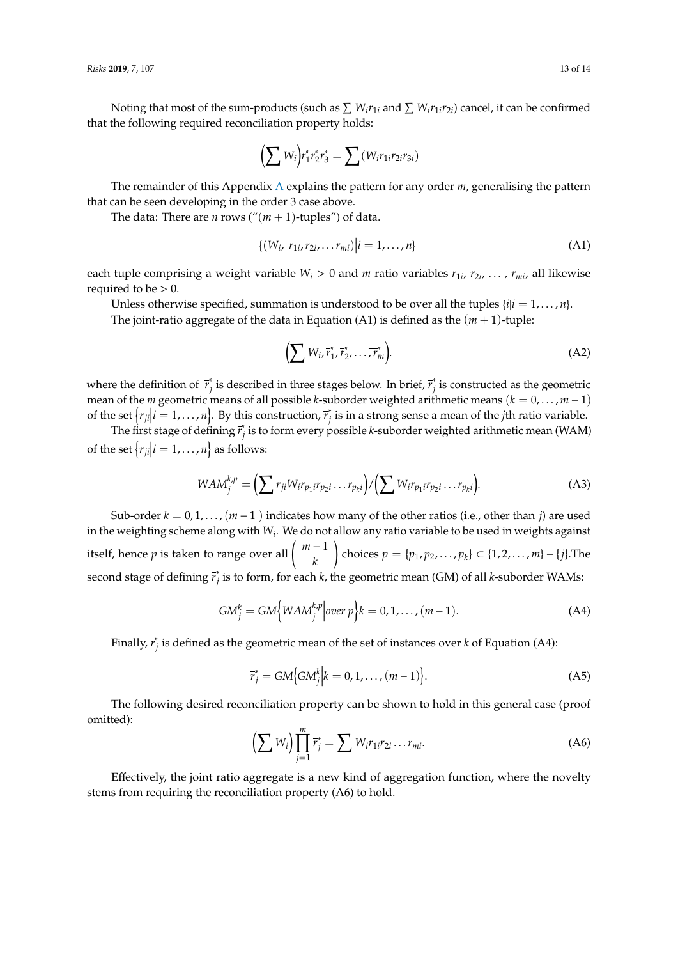Noting that most of the sum-products (such as  $\sum W_i r_{1i}$  and  $\sum W_i r_{1i} r_{2i}$ ) cancel, it can be confirmed that the following required reconciliation property holds:

$$
\left(\sum W_i\right)\vec{r}_1^*\vec{r}_2^*\vec{r}_3^* = \sum (W_i r_{1i}r_{2i}r_{3i})
$$

The remainder of this Appendix [A](#page-11-0) explains the pattern for any order *m*, generalising the pattern that can be seen developing in the order 3 case above.

The data: There are *n* rows (" $(m + 1)$ -tuples") of data.

$$
\{(W_i, r_{1i}, r_{2i}, \dots r_{mi})|i = 1, \dots, n\}
$$
 (A1)

each tuple comprising a weight variable  $W_i > 0$  and  $m$  ratio variables  $r_{1i}$ ,  $r_{2i}$ ,  $\dots$  ,  $r_{mi}$ , all likewise required to be  $> 0$ .

Unless otherwise specified, summation is understood to be over all the tuples  $\{i|i = 1, \ldots, n\}$ . The joint-ratio aggregate of the data in Equation (A1) is defined as the  $(m + 1)$ -tuple:

$$
\left(\sum W_i, \vec{r}_1^*, \vec{r}_2^*, \dots, \vec{r}_m^*\right).
$$
\n(A2)

where the definition of  $\vec{r}_i$ <sup>\*</sup> *j* is described in three stages below. In brief, *r* ∗  $\tilde{j}$  is constructed as the geometric mean of the *m* geometric means of all possible *k*-suborder weighted arithmetic means ( $k = 0, ..., m - 1$ ) of the set  $\{r_{ji} | i = 1, ..., n\}$ . By this construction,  $\vec{r}_j$ *j* is in a strong sense a mean of the *j*th ratio variable.

The first stage of defining  $\vec{r}_i$ <sup>\*</sup> *j* is to form every possible *k*-suborder weighted arithmetic mean (WAM) of the set  $\{r_{ji}|i=1,\ldots,n\}$  as follows:

$$
WAM_j^{k,p} = \left(\sum r_{ji}W_i r_{p_1i} r_{p_2i} \dots r_{p_ki}\right) / \left(\sum W_i r_{p_1i} r_{p_2i} \dots r_{p_ki}\right).
$$
\n(A3)

Sub-order  $k = 0, 1, ..., (m - 1)$  indicates how many of the other ratios (i.e., other than *j*) are used in the weighting scheme along with *W<sup>i</sup>* . We do not allow any ratio variable to be used in weights against itself, hence *p* is taken to range over all  $\binom{m-1}{L}$ *k*  $\bigg\}$  choices *p* = {*p*<sub>1</sub>, *p*<sub>2</sub>, . . . , *p*<sub>*k*</sub>} ⊂ {1, 2, . . . , *m*} − {*j*}. The second stage of defining *r* ∗ *j* is to form, for each *k*, the geometric mean (GM) of all *k*-suborder WAMs:

$$
GM_j^k = GM \Big\{ WAM_j^{k,p} \Big\vert over \ p \Big\} k = 0, 1, ..., (m-1). \tag{A4}
$$

Finally, *r* ∗ *j* is defined as the geometric mean of the set of instances over *k* of Equation (A4):

$$
\vec{r}_j^* = GM \Big| GM_j^k \Big| k = 0, 1, ..., (m-1) \Big|.
$$
 (A5)

The following desired reconciliation property can be shown to hold in this general case (proof omitted):

$$
\left(\sum W_i\right)\prod_{j=1}^m \overline{r}_j^* = \sum W_i r_{1i} r_{2i} \dots r_{mi}.
$$
\n(A6)

Effectively, the joint ratio aggregate is a new kind of aggregation function, where the novelty stems from requiring the reconciliation property (A6) to hold.